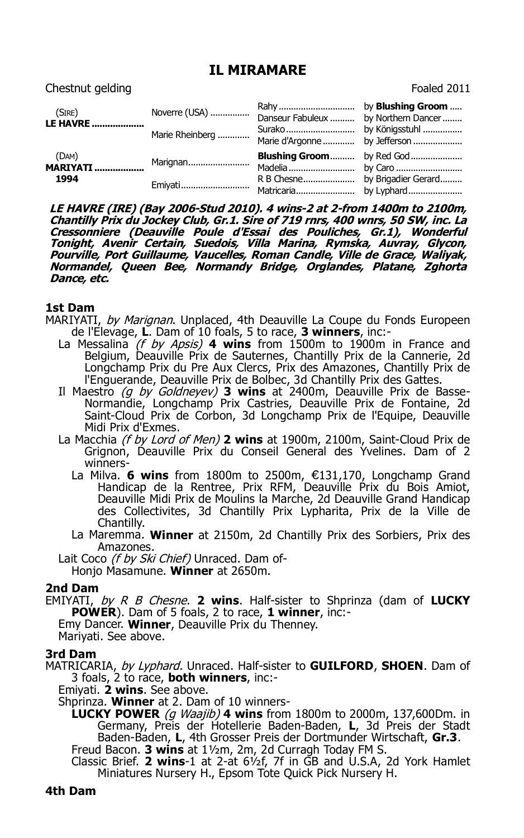## **IL MIRAMARE**

Chestnut gelding Foaled 2011

| (SIRE)<br><b>LE HAVRE </b>       | Noverre (USA)<br>Marie Rheinberg | Danseur Fabuleux  by Northern Dancer<br>Marie d'Argonne  by Jefferson |  |
|----------------------------------|----------------------------------|-----------------------------------------------------------------------|--|
| (DAM)<br><b>MARIYATI</b><br>1994 | Marignan<br>Emiyati              | <b>Blushing Groom</b> by Red God                                      |  |

**LE HAVRE (IRE) (Bay 2006-Stud 2010). 4 wins-2 at 2-from 1400m to 2100m, Chantilly Prix du Jockey Club, Gr.1. Sire of 719 rnrs, 400 wnrs, 50 SW, inc. La Cressonniere (Deauville Poule d'Essai des Pouliches, Gr.1), Wonderful Tonight, Avenir Certain, Suedois, Villa Marina, Rymska, Auvray, Glycon, Pourville, Port Guillaume, Vaucelles, Roman Candle, Ville de Grace, Waliyak, Normandel, Queen Bee, Normandy Bridge, Orglandes, Platane, Zghorta Dance, etc.**

## **1st Dam**

- MARIYATI, by Marignan. Unplaced, 4th Deauville La Coupe du Fonds Europeen de l'Elevage, **L**. Dam of 10 foals, 5 to race, **3 winners**, inc:-
	- La Messalina (f by Apsis) **4 wins** from 1500m to 1900m in France and Belgium, Deauville Prix de Sauternes, Chantilly Prix de la Cannerie, 2d Longchamp Prix du Pre Aux Clercs, Prix des Amazones, Chantilly Prix de l'Enguerande, Deauville Prix de Bolbec, 3d Chantilly Prix des Gattes.
	- Il Maestro (g by Goldneyev) **3 wins** at 2400m, Deauville Prix de Basse-Normandie, Longchamp Prix Castries, Deauville Prix de Fontaine, 2d Saint-Cloud Prix de Corbon, 3d Longchamp Prix de l'Equipe, Deauville Midi Prix d'Exmes.
	- La Macchia (f by Lord of Men) **2 wins** at 1900m, 2100m, Saint-Cloud Prix de Grignon, Deauville Prix du Conseil General des Yvelines. Dam of 2 winners-
		- La Milva. 6 wins from 1800m to 2500m, €131,170, Longchamp Grand Handicap de la Rentree, Prix RFM, Deauville Prix du Bois Amiot, Deauville Midi Prix de Moulins la Marche, 2d Deauville Grand Handicap des Collectivites, 3d Chantilly Prix Lypharita, Prix de la Ville de Chantilly.
		- La Maremma. **Winner** at 2150m, 2d Chantilly Prix des Sorbiers, Prix des Amazones.
	- Lait Coco (f by Ski Chief) Unraced. Dam of-Honjo Masamune. **Winner** at 2650m.

## **2nd Dam**

EMIYATI, by R B Chesne. **2 wins**. Half-sister to Shprinza (dam of **LUCKY POWER**). Dam of 5 foals, 2 to race, **1 winner**, inc:-

Emy Dancer. **Winner**, Deauville Prix du Thenney. Mariyati. See above.

## **3rd Dam**

MATRICARIA, by Lyphard. Unraced. Half-sister to **GUILFORD**, **SHOEN**. Dam of 3 foals, 2 to race, **both winners**, inc:-

Emiyati. **2 wins**. See above.

Shprinza. **Winner** at 2. Dam of 10 winners-

**LUCKY POWER** (g Waajib) **4 wins** from 1800m to 2000m, 137,600Dm. in Germany, Preis der Hotellerie Baden-Baden, **L**, 3d Preis der Stadt Baden-Baden, **L**, 4th Grosser Preis der Dortmunder Wirtschaft, **Gr.3**.

Freud Bacon. **3 wins** at 1½m, 2m, 2d Curragh Today FM S.

Classic Brief. **2 wins**-1 at 2-at 6½f, 7f in GB and U.S.A, 2d York Hamlet Miniatures Nursery H., Epsom Tote Quick Pick Nursery H.

**4th Dam**